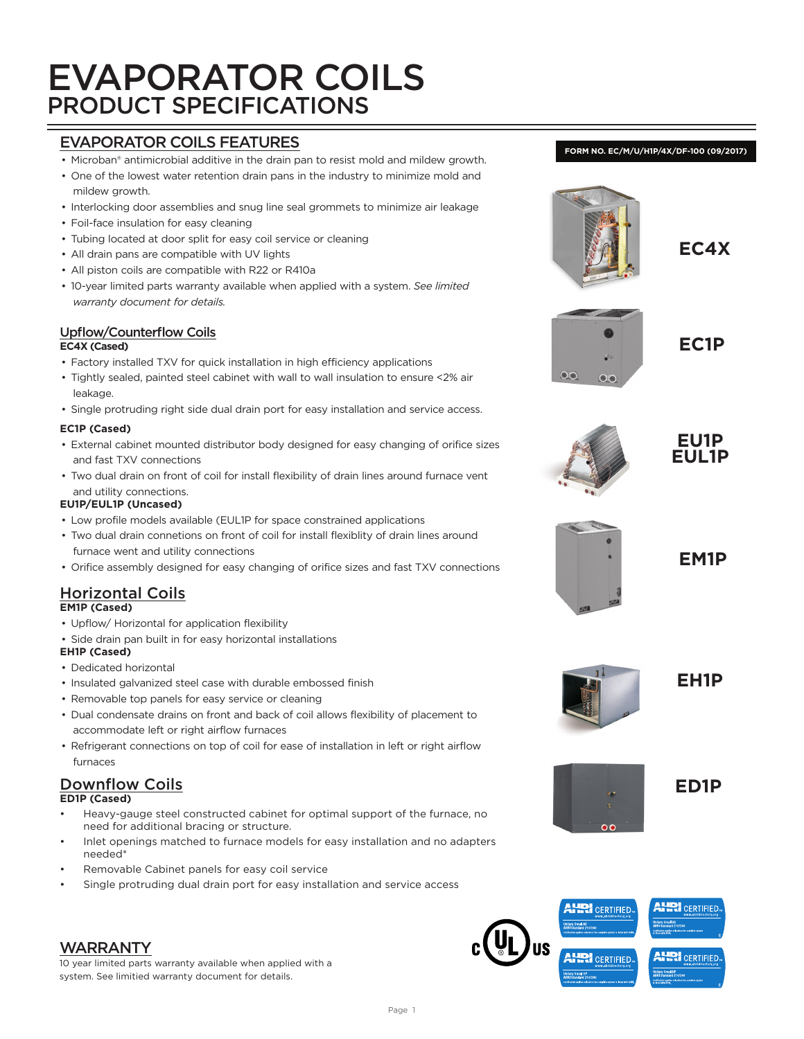# EVAPORATOR COILS PRODUCT SPECIFICATIONS

# EVAPORATOR COILS FEATURES

- Microban® antimicrobial additive in the drain pan to resist mold and mildew growth.
- One of the lowest water retention drain pans in the industry to minimize mold and mildew growth.
- Interlocking door assemblies and snug line seal grommets to minimize air leakage
- Foil-face insulation for easy cleaning
- Tubing located at door split for easy coil service or cleaning
- All drain pans are compatible with UV lights
- All piston coils are compatible with R22 or R410a
- 10-year limited parts warranty available when applied with a system. *See limited warranty document for details.*

## Upflow/Counterflow Coils

#### **EC4X (Cased)**

- Factory installed TXV for quick installation in high efficiency applications
- Tightly sealed, painted steel cabinet with wall to wall insulation to ensure <2% air leakage.
- Single protruding right side dual drain port for easy installation and service access.

#### **EC1P (Cased)**

- External cabinet mounted distributor body designed for easy changing of orifice sizes and fast TXV connections
- Two dual drain on front of coil for install flexibility of drain lines around furnace vent and utility connections.

#### **EU1P/EUL1P (Uncased)**

- Low profile models available (EUL1P for space constrained applications
- Two dual drain connetions on front of coil for install flexiblity of drain lines around furnace went and utility connections
- Orifice assembly designed for easy changing of orifice sizes and fast TXV connections

#### Horizontal Coils **EM1P (Cased)**

- Upflow/ Horizontal for application flexibility
- Side drain pan built in for easy horizontal installations

#### **EH1P (Cased)**

- Dedicated horizontal
- Insulated galvanized steel case with durable embossed finish
- Removable top panels for easy service or cleaning
- Dual condensate drains on front and back of coil allows flexibility of placement to accommodate left or right airflow furnaces
- Refrigerant connections on top of coil for ease of installation in left or right airflow furnaces

#### **ED1P (Cased)**

- Heavy-gauge steel constructed cabinet for optimal support of the furnace, no need for additional bracing or structure.
- Inlet openings matched to furnace models for easy installation and no adapters needed\*
- Removable Cabinet panels for easy coil service
- Single protruding dual drain port for easy installation and service access

# WARRANTY

10 year limited parts warranty available when applied with a system. See limitied warranty document for details.



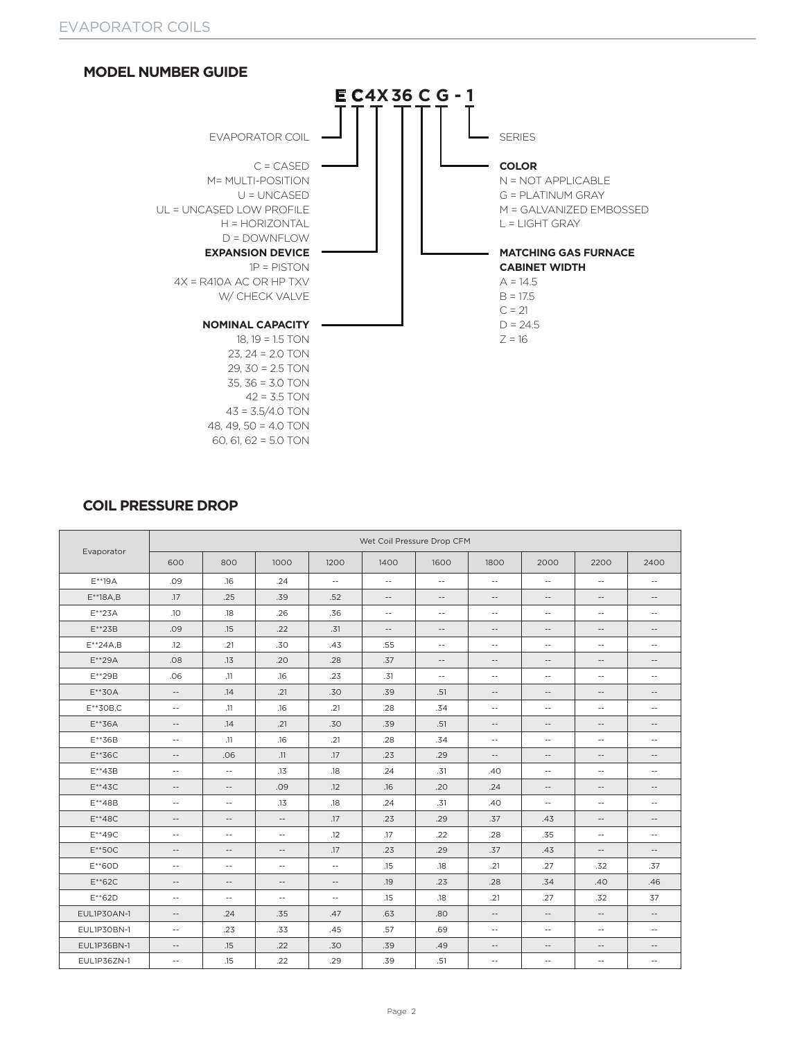

#### **COIL PRESSURE DROP**

|                |                          |                          |                          |                          | Wet Coil Pressure Drop CFM |                          |                          |                          |                          |                          |
|----------------|--------------------------|--------------------------|--------------------------|--------------------------|----------------------------|--------------------------|--------------------------|--------------------------|--------------------------|--------------------------|
| Evaporator     | 600                      | 800                      | 1000                     | 1200                     | 1400                       | 1600                     | 1800                     | 2000                     | 2200                     | 2400                     |
| $E^{**}$ 19A   | .09                      | .16                      | .24                      | $\sim$ $-$               | $\sim$ $-$                 | $\sim$ $-$               | $\sim$ $-$               | $\sim$ $-$               | $\sim$ $-$               | $\overline{\phantom{a}}$ |
| $E^{**}$ 18A,B | .17                      | .25                      | .39                      | .52                      | $\overline{\phantom{a}}$   | $\overline{\phantom{a}}$ | $\overline{\phantom{a}}$ | $\overline{\phantom{a}}$ | $\overline{\phantom{a}}$ | $\overline{\phantom{a}}$ |
| $E^{**}$ 23A   | .10                      | .18                      | .26                      | .36                      | $\sim$ $-$                 | $\sim$ $-$               | $\sim$ $-$               | $\sim$ $-$               | $\sim$ $-$               | $\overline{\phantom{a}}$ |
| $E^{**}$ 23B   | .09                      | .15                      | .22                      | .31                      | $\overline{\phantom{a}}$   | $\overline{\phantom{a}}$ | $\overline{\phantom{m}}$ | $\overline{\phantom{m}}$ | $\overline{\phantom{a}}$ | $\overline{\phantom{a}}$ |
| $E^{**}24A,B$  | .12                      | .21                      | .30                      | .43                      | .55                        | $\sim$ $-$               | $\sim$ $-$               | $\sim$ $-$               | $\sim$ $-$               | $\sim$ $-$               |
| $E^{**}29A$    | .08                      | .13                      | .20                      | .28                      | .37                        | $\overline{\phantom{a}}$ | $\overline{\phantom{a}}$ | $\overline{\phantom{a}}$ | $\overline{\phantom{a}}$ | $\overline{\phantom{a}}$ |
| E**29B         | .06                      | .11                      | .16                      | .23                      | .31                        | $\overline{\phantom{a}}$ | $\sim$ $-$               | $\overline{\phantom{m}}$ | $\sim$ $-$               | $\sim$ $-$               |
| $E^{**}$ 30A   | $\overline{\phantom{a}}$ | .14                      | .21                      | .30                      | .39                        | .51                      | $\overline{\phantom{m}}$ | $\sim$ $-$               | $\sim$ $-$               | $\overline{\phantom{a}}$ |
| $E^{**}30B$ ,C | $\sim$ $-$               | .11                      | .16                      | .21                      | .28                        | .34                      | $\sim$ $-$               | $\sim$ $-$               | $\sim$ $-$               | $\sim$ $-$               |
| $E^{**}36A$    | $\overline{\phantom{m}}$ | .14                      | .21                      | .30                      | .39                        | .51                      | $\overline{\phantom{m}}$ | $\overline{\phantom{m}}$ | $\overline{\phantom{a}}$ | $\overline{\phantom{a}}$ |
| $E***36B$      | $\sim$ $-$               | .11                      | .16                      | .21                      | .28                        | .34                      | $\sim$ $-$               | $\sim$ $-$               | $\sim$ $-$               | $\sim$ $-$               |
| $E***36C$      | $\overline{\phantom{a}}$ | .06                      | .11                      | .17                      | .23                        | .29                      | $\overline{\phantom{m}}$ | $\overline{\phantom{m}}$ | $\overline{\phantom{a}}$ | $\qquad \qquad -$        |
| $E^{**}43B$    | $\sim$ $-$               | $\sim$ $-$               | .13                      | .18                      | .24                        | .31                      | .40                      | $\sim$ $-$               | $\sim$ $-$               | $\sim$ $-$               |
| $E^{**}$ 43C   | $\overline{\phantom{m}}$ | $\overline{\phantom{m}}$ | .09                      | .12                      | .16                        | .20                      | .24                      | $\overline{\phantom{m}}$ | $\overline{\phantom{a}}$ | $\overline{\phantom{a}}$ |
| $E^{**}48B$    | $\sim$ $-$               | $\sim$ $-$               | .13                      | .18                      | .24                        | .31                      | .40                      | $\sim$ $-$               | $\sim$ $-$               | $\sim$ $-$               |
| $E^{**}$ 48C   | $\overline{\phantom{m}}$ | $\overline{\phantom{m}}$ | $\overline{\phantom{a}}$ | .17                      | .23                        | .29                      | .37                      | .43                      | $\overline{\phantom{m}}$ | $\overline{\phantom{a}}$ |
| $E^{**}$ 49C   | $\sim$ $-$               | $\sim$ $-$               | $\sim$ $-$               | .12                      | .17                        | .22                      | .28                      | .35                      | $\sim$ $-$               | $\sim$ $-$               |
| $E^{**}$ 50C   | $\qquad \qquad -$        | $\overline{\phantom{m}}$ | $\overline{\phantom{a}}$ | .17                      | .23                        | .29                      | .37                      | .43                      | $\overline{\phantom{a}}$ | $\overline{\phantom{a}}$ |
| $E^{**}60D$    | $\sim$ $-$               | $\sim$ $-$               | $\sim$ $-$               | $\sim$ $-$               | .15                        | .18                      | .21                      | .27                      | .32                      | .37                      |
| $E***62C$      | $\qquad \qquad -$        | $\overline{\phantom{m}}$ | $\overline{\phantom{a}}$ | $\overline{\phantom{a}}$ | .19                        | .23                      | .28                      | .34                      | .40                      | .46                      |
| $E^{**}62D$    | $\sim$ $-$               | $\sim$ $-$               | $\sim$ $-$               | $\sim$ $-$               | .15                        | .18                      | .21                      | .27                      | .32                      | 37                       |
| EUL1P30AN-1    | $\overline{\phantom{a}}$ | .24                      | .35                      | .47                      | .63                        | .80                      | $\overline{\phantom{m}}$ | $\overline{\phantom{m}}$ | $\overline{\phantom{m}}$ | $\overline{\phantom{a}}$ |
| EUL1P30BN-1    | $\sim$ $-$               | .23                      | .33                      | .45                      | .57                        | .69                      | $\sim$ $-$               | $\sim$ $-$               | $\sim$ $-$               | $\sim$ $-$               |
| EUL1P36BN-1    | $\overline{\phantom{m}}$ | .15                      | .22                      | .30                      | .39                        | .49                      | $\overline{\phantom{a}}$ | $\overline{\phantom{m}}$ | $\overline{\phantom{a}}$ | $\qquad \qquad -$        |
| EUL1P36ZN-1    | $\sim$ $-$               | .15                      | .22                      | .29                      | .39                        | .51                      | $\sim$ $-$               | $\overline{\phantom{m}}$ | $\overline{\phantom{a}}$ | $\overline{\phantom{a}}$ |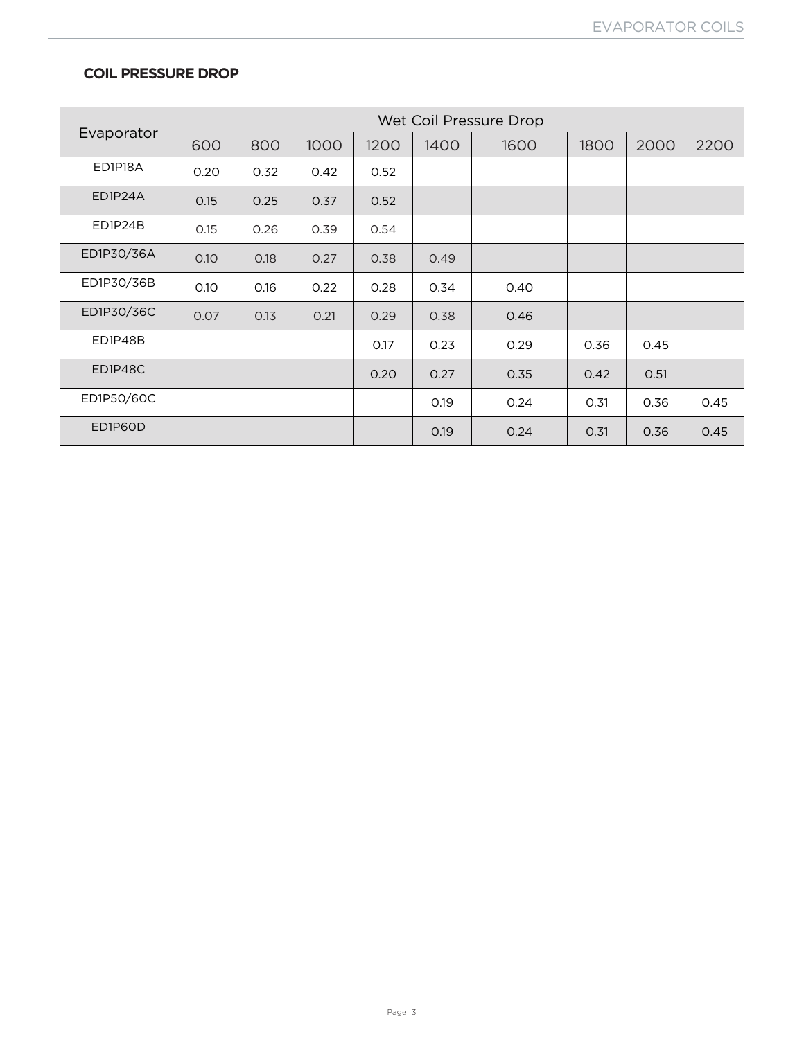#### **COIL PRESSURE DROP**

|            |      |      |      |      |      | Wet Coil Pressure Drop |      |      |      |
|------------|------|------|------|------|------|------------------------|------|------|------|
| Evaporator | 600  | 800  | 1000 | 1200 | 1400 | 1600                   | 1800 | 2000 | 2200 |
| ED1P18A    | 0.20 | 0.32 | 0.42 | 0.52 |      |                        |      |      |      |
| ED1P24A    | 0.15 | 0.25 | 0.37 | 0.52 |      |                        |      |      |      |
| ED1P24B    | 0.15 | 0.26 | 0.39 | 0.54 |      |                        |      |      |      |
| ED1P30/36A | 0.10 | 0.18 | 0.27 | 0.38 | 0.49 |                        |      |      |      |
| ED1P30/36B | 0.10 | 0.16 | 0.22 | 0.28 | 0.34 | 0.40                   |      |      |      |
| ED1P30/36C | 0.07 | 0.13 | 0.21 | 0.29 | 0.38 | 0.46                   |      |      |      |
| ED1P48B    |      |      |      | 0.17 | 0.23 | 0.29                   | 0.36 | 0.45 |      |
| ED1P48C    |      |      |      | 0.20 | 0.27 | 0.35                   | 0.42 | 0.51 |      |
| ED1P50/60C |      |      |      |      | 0.19 | 0.24                   | 0.31 | 0.36 | 0.45 |
| ED1P60D    |      |      |      |      | 0.19 | 0.24                   | 0.31 | 0.36 | 0.45 |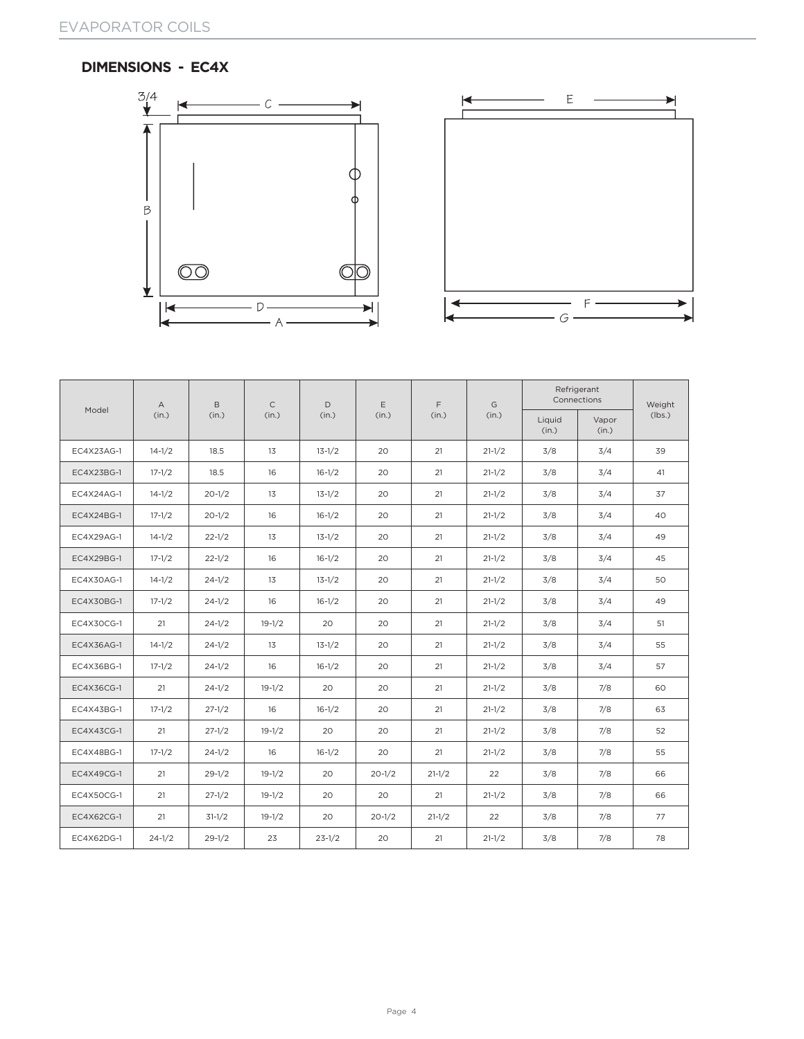## **DIMENSIONS - EC4X**





|            | B<br>Α     |            | $\mathsf{C}$ | D          | E          | F          | G          |                 | Refrigerant<br>Connections | Weight |
|------------|------------|------------|--------------|------------|------------|------------|------------|-----------------|----------------------------|--------|
| Model      | (in.)      | (in.)      | (in.)        | (in.)      | (in.)      | (in.)      | (in.)      | Liquid<br>(in.) | Vapor<br>(in.)             | (lbs.) |
| EC4X23AG-1 | $14 - 1/2$ | 18.5       | 13           | $13 - 1/2$ | 20         | 21         | $21 - 1/2$ | 3/8             | 3/4                        | 39     |
| EC4X23BG-1 | $17 - 1/2$ | 18.5       | 16           | $16-1/2$   | 20         | 21         | $21 - 1/2$ | 3/8             | 3/4                        | 41     |
| EC4X24AG-1 | $14 - 1/2$ | $20 - 1/2$ | 13           | $13 - 1/2$ | 20         | 21         | $21 - 1/2$ | 3/8             | 3/4                        | 37     |
| EC4X24BG-1 | $17 - 1/2$ | $20 - 1/2$ | 16           | $16-1/2$   | 20         | 21         | $21 - 1/2$ | 3/8             | 3/4                        | 40     |
| EC4X29AG-1 | $14 - 1/2$ | $22 - 1/2$ | 13           | $13 - 1/2$ | 20         | 21         | $21 - 1/2$ | 3/8             | 3/4                        | 49     |
| EC4X29BG-1 | $17 - 1/2$ | $22 - 1/2$ | 16           | $16-1/2$   | 20         | 21         | $21 - 1/2$ | 3/8             | 3/4                        | 45     |
| EC4X30AG-1 | $14 - 1/2$ | $24 - 1/2$ | 13           | $13 - 1/2$ | 20         | 21         | $21 - 1/2$ | 3/8             | 3/4                        | 50     |
| EC4X30BG-1 | $17 - 1/2$ | $24 - 1/2$ | 16           | $16-1/2$   | 20         | 21         | $21 - 1/2$ | 3/8             | 3/4                        | 49     |
| EC4X30CG-1 | 21         | $24 - 1/2$ | $19-1/2$     | 20         | 20         | 21         | $21 - 1/2$ | 3/8             | 3/4                        | 51     |
| EC4X36AG-1 | $14 - 1/2$ | $24 - 1/2$ | 13           | $13 - 1/2$ | 20         | 21         | $21 - 1/2$ | 3/8             | 3/4                        | 55     |
| EC4X36BG-1 | $17 - 1/2$ | $24 - 1/2$ | 16           | $16 - 1/2$ | 20         | 21         | $21 - 1/2$ | 3/8             | 3/4                        | 57     |
| EC4X36CG-1 | 21         | $24 - 1/2$ | $19-1/2$     | 20         | 20         | 21         | $21 - 1/2$ | 3/8             | 7/8                        | 60     |
| EC4X43BG-1 | $17 - 1/2$ | $27 - 1/2$ | 16           | $16-1/2$   | 20         | 21         | $21 - 1/2$ | 3/8             | 7/8                        | 63     |
| EC4X43CG-1 | 21         | $27 - 1/2$ | $19-1/2$     | 20         | 20         | 21         | $21 - 1/2$ | 3/8             | 7/8                        | 52     |
| EC4X48BG-1 | $17 - 1/2$ | $24 - 1/2$ | 16           | $16-1/2$   | 20         | 21         | $21 - 1/2$ | 3/8             | 7/8                        | 55     |
| EC4X49CG-1 | 21         | $29 - 1/2$ | $19-1/2$     | 20         | $20 - 1/2$ | $21 - 1/2$ | 22         | 3/8             | 7/8                        | 66     |
| EC4X50CG-1 | 21         | $27 - 1/2$ | $19-1/2$     | 20         | 20         | 21         | $21 - 1/2$ | 3/8             | 7/8                        | 66     |
| EC4X62CG-1 | 21         | $31-1/2$   | $19-1/2$     | 20         | $20 - 1/2$ | $21 - 1/2$ | 22         | 3/8             | 7/8                        | 77     |
| EC4X62DG-1 | $24 - 1/2$ | $29 - 1/2$ | 23           | $23 - 1/2$ | 20         | 21         | $21 - 1/2$ | 3/8             | 7/8                        | 78     |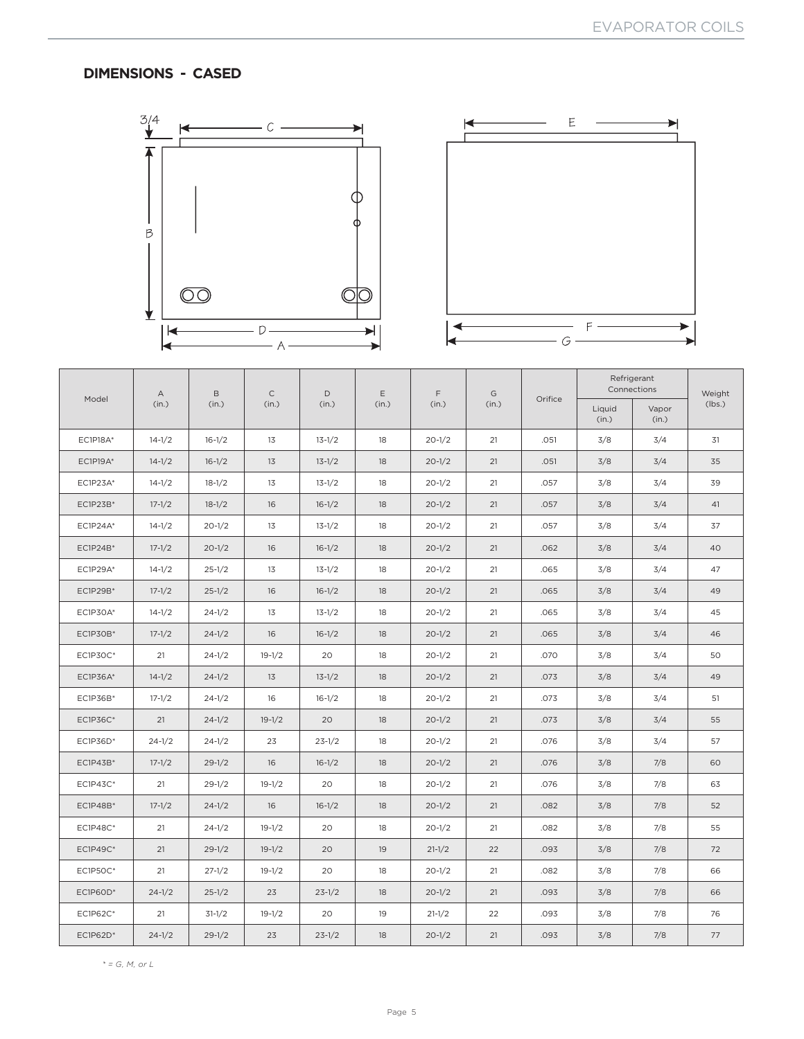# **DIMENSIONS - CASED**





|                 | $\mathsf{A}$ | B          | $\mathsf C$ | D          | Ε     | F          | G     |         |                 | Refrigerant<br>Connections | Weight |
|-----------------|--------------|------------|-------------|------------|-------|------------|-------|---------|-----------------|----------------------------|--------|
| Model           | (in.)        | (in.)      | (in.)       | (in.)      | (in.) | (in.)      | (in.) | Orifice | Liquid<br>(in.) | Vapor<br>(in.)             | (lbs.) |
| EC1P18A*        | $14 - 1/2$   | $16 - 1/2$ | 13          | $13 - 1/2$ | 18    | $20 - 1/2$ | 21    | .051    | 3/8             | 3/4                        | 31     |
| <b>EC1P19A*</b> | $14 - 1/2$   | $16 - 1/2$ | 13          | $13 - 1/2$ | 18    | $20 - 1/2$ | 21    | .051    | 3/8             | 3/4                        | 35     |
| EC1P23A*        | $14 - 1/2$   | $18-1/2$   | 13          | $13 - 1/2$ | 18    | $20 - 1/2$ | 21    | .057    | 3/8             | 3/4                        | 39     |
| EC1P23B*        | $17 - 1/2$   | $18-1/2$   | 16          | $16 - 1/2$ | 18    | $20 - 1/2$ | 21    | .057    | 3/8             | 3/4                        | 41     |
| EC1P24A*        | $14 - 1/2$   | $20 - 1/2$ | 13          | $13 - 1/2$ | 18    | $20 - 1/2$ | 21    | .057    | 3/8             | 3/4                        | 37     |
| EC1P24B*        | $17 - 1/2$   | $20 - 1/2$ | 16          | $16-1/2$   | 18    | $20 - 1/2$ | 21    | .062    | 3/8             | 3/4                        | 40     |
| <b>EC1P29A*</b> | $14 - 1/2$   | $25 - 1/2$ | 13          | $13 - 1/2$ | 18    | $20 - 1/2$ | 21    | .065    | 3/8             | 3/4                        | 47     |
| EC1P29B*        | $17 - 1/2$   | $25 - 1/2$ | 16          | $16 - 1/2$ | 18    | $20 - 1/2$ | 21    | .065    | 3/8             | 3/4                        | 49     |
| <b>EC1P30A*</b> | $14 - 1/2$   | $24 - 1/2$ | 13          | $13 - 1/2$ | 18    | $20 - 1/2$ | 21    | .065    | 3/8             | 3/4                        | 45     |
| EC1P30B*        | $17 - 1/2$   | $24 - 1/2$ | 16          | $16 - 1/2$ | 18    | $20 - 1/2$ | 21    | .065    | 3/8             | 3/4                        | 46     |
| EC1P30C*        | 21           | $24 - 1/2$ | $19 - 1/2$  | 20         | 18    | $20 - 1/2$ | 21    | .070    | 3/8             | 3/4                        | 50     |
| <b>EC1P36A*</b> | $14 - 1/2$   | $24 - 1/2$ | 13          | $13 - 1/2$ | 18    | $20 - 1/2$ | 21    | .073    | 3/8             | 3/4                        | 49     |
| EC1P36B*        | $17 - 1/2$   | $24 - 1/2$ | 16          | $16 - 1/2$ | 18    | $20 - 1/2$ | 21    | .073    | 3/8             | 3/4                        | 51     |
| EC1P36C*        | 21           | $24 - 1/2$ | $19-1/2$    | 20         | 18    | $20 - 1/2$ | 21    | .073    | 3/8             | 3/4                        | 55     |
| EC1P36D*        | $24 - 1/2$   | $24 - 1/2$ | 23          | $23 - 1/2$ | 18    | $20 - 1/2$ | 21    | .076    | 3/8             | 3/4                        | 57     |
| EC1P43B*        | $17 - 1/2$   | $29 - 1/2$ | 16          | $16 - 1/2$ | 18    | $20 - 1/2$ | 21    | .076    | 3/8             | 7/8                        | 60     |
| EC1P43C*        | 21           | $29 - 1/2$ | $19-1/2$    | 20         | 18    | $20 - 1/2$ | 21    | .076    | 3/8             | 7/8                        | 63     |
| EC1P48B*        | $17 - 1/2$   | $24 - 1/2$ | 16          | $16 - 1/2$ | 18    | $20 - 1/2$ | 21    | .082    | 3/8             | 7/8                        | 52     |
| <b>EC1P48C*</b> | 21           | $24 - 1/2$ | $19 - 1/2$  | 20         | 18    | $20 - 1/2$ | 21    | .082    | 3/8             | 7/8                        | 55     |
| EC1P49C*        | 21           | $29 - 1/2$ | $19-1/2$    | 20         | 19    | $21 - 1/2$ | 22    | .093    | 3/8             | 7/8                        | 72     |
| <b>EC1P50C*</b> | 21           | $27 - 1/2$ | $19 - 1/2$  | 20         | 18    | $20 - 1/2$ | 21    | .082    | 3/8             | 7/8                        | 66     |
| $EC1P60D*$      | $24 - 1/2$   | $25 - 1/2$ | 23          | $23 - 1/2$ | 18    | $20 - 1/2$ | 21    | .093    | 3/8             | 7/8                        | 66     |
| EC1P62C*        | 21           | $31-1/2$   | $19 - 1/2$  | 20         | 19    | $21 - 1/2$ | 22    | .093    | 3/8             | 7/8                        | 76     |
| EC1P62D*        | $24 - 1/2$   | $29 - 1/2$ | 23          | $23 - 1/2$ | 18    | $20 - 1/2$ | 21    | .093    | 3/8             | 7/8                        | 77     |

*\* = G, M, or L*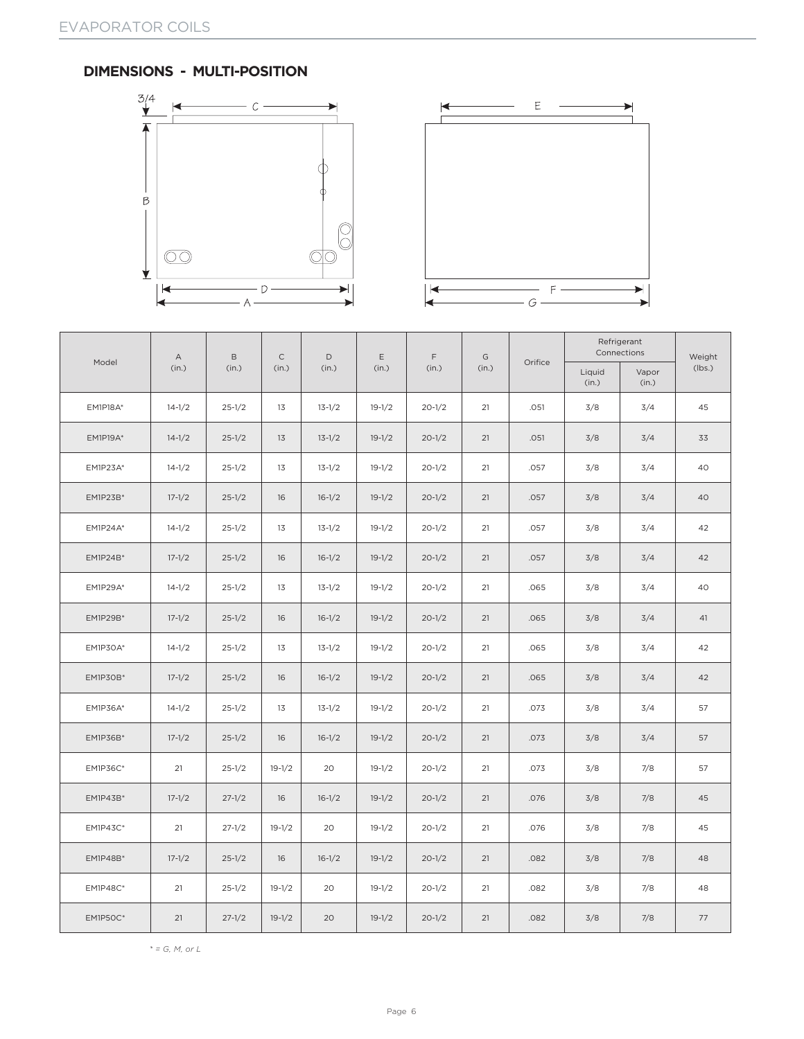#### **DIMENSIONS - MULTI-POSITION**





|                 | $\mathsf A$ | B          | $\mathsf{C}$ | D          | E          | F          | G     |         |                 | Refrigerant<br>Connections | Weight |
|-----------------|-------------|------------|--------------|------------|------------|------------|-------|---------|-----------------|----------------------------|--------|
| Model           | (in.)       | (in.)      | (in.)        | (in.)      | (in.)      | (in.)      | (in.) | Orifice | Liquid<br>(in.) | Vapor<br>(in.)             | (lbs.) |
| <b>EM1P18A*</b> | $14 - 1/2$  | $25 - 1/2$ | 13           | $13 - 1/2$ | $19 - 1/2$ | $20 - 1/2$ | 21    | .051    | 3/8             | 3/4                        | 45     |
| <b>EM1P19A*</b> | $14 - 1/2$  | $25 - 1/2$ | 13           | $13 - 1/2$ | $19 - 1/2$ | $20 - 1/2$ | 21    | .051    | 3/8             | 3/4                        | 33     |
| <b>EM1P23A*</b> | $14 - 1/2$  | $25 - 1/2$ | 13           | $13 - 1/2$ | $19 - 1/2$ | $20 - 1/2$ | 21    | .057    | 3/8             | 3/4                        | 40     |
| EM1P23B*        | $17 - 1/2$  | $25 - 1/2$ | 16           | $16-1/2$   | $19 - 1/2$ | $20 - 1/2$ | 21    | .057    | 3/8             | 3/4                        | 40     |
| <b>EM1P24A*</b> | $14 - 1/2$  | $25 - 1/2$ | 13           | $13 - 1/2$ | $19 - 1/2$ | $20 - 1/2$ | 21    | .057    | 3/8             | 3/4                        | 42     |
| EM1P24B*        | $17 - 1/2$  | $25 - 1/2$ | 16           | $16-1/2$   | $19-1/2$   | $20 - 1/2$ | 21    | .057    | 3/8             | 3/4                        | 42     |
| <b>EM1P29A*</b> | $14 - 1/2$  | $25 - 1/2$ | 13           | $13 - 1/2$ | $19-1/2$   | $20 - 1/2$ | 21    | .065    | 3/8             | 3/4                        | 40     |
| EM1P29B*        | $17 - 1/2$  | $25 - 1/2$ | 16           | $16 - 1/2$ | $19-1/2$   | $20 - 1/2$ | 21    | .065    | 3/8             | 3/4                        | 41     |
| EM1P30A*        | $14 - 1/2$  | $25 - 1/2$ | 13           | $13 - 1/2$ | $19-1/2$   | $20 - 1/2$ | 21    | .065    | 3/8             | 3/4                        | 42     |
| EM1P30B*        | $17 - 1/2$  | $25 - 1/2$ | 16           | $16-1/2$   | $19-1/2$   | $20 - 1/2$ | 21    | .065    | 3/8             | 3/4                        | 42     |
| EM1P36A*        | $14 - 1/2$  | $25 - 1/2$ | 13           | $13 - 1/2$ | $19 - 1/2$ | $20 - 1/2$ | 21    | .073    | 3/8             | 3/4                        | 57     |
| EM1P36B*        | $17 - 1/2$  | $25 - 1/2$ | 16           | $16-1/2$   | $19 - 1/2$ | $20 - 1/2$ | 21    | .073    | 3/8             | 3/4                        | 57     |
| <b>EM1P36C*</b> | 21          | $25 - 1/2$ | $19-1/2$     | 20         | $19 - 1/2$ | $20 - 1/2$ | 21    | .073    | 3/8             | 7/8                        | 57     |
| EM1P43B*        | $17 - 1/2$  | $27 - 1/2$ | 16           | $16-1/2$   | $19-1/2$   | $20 - 1/2$ | 21    | .076    | 3/8             | 7/8                        | 45     |
| <b>EM1P43C*</b> | 21          | $27 - 1/2$ | $19-1/2$     | 20         | $19-1/2$   | $20 - 1/2$ | 21    | .076    | 3/8             | 7/8                        | 45     |
| EM1P48B*        | $17 - 1/2$  | $25 - 1/2$ | 16           | $16 - 1/2$ | $19 - 1/2$ | $20 - 1/2$ | 21    | .082    | 3/8             | 7/8                        | 48     |
| <b>EM1P48C*</b> | 21          | $25 - 1/2$ | $19-1/2$     | 20         | $19 - 1/2$ | $20 - 1/2$ | 21    | .082    | 3/8             | 7/8                        | 48     |
| <b>EM1P50C*</b> | 21          | $27 - 1/2$ | $19-1/2$     | 20         | $19 - 1/2$ | $20 - 1/2$ | 21    | .082    | 3/8             | 7/8                        | 77     |

*\* = G, M, or L*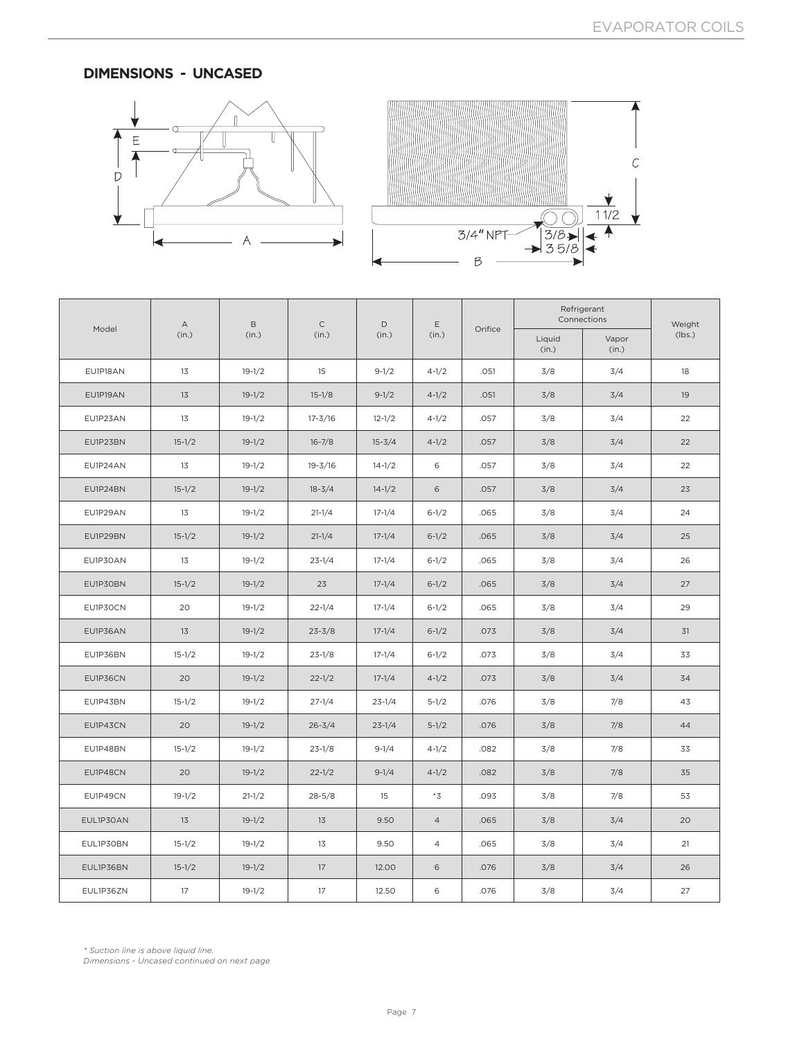## **DIMENSIONS - UNCASED**





|           | $\mathsf A$ | $\mathsf B$ | $\mathsf C$ | $\mathsf D$ | $\mathsf E$    |         |                 | Refrigerant<br>Connections | Weight |
|-----------|-------------|-------------|-------------|-------------|----------------|---------|-----------------|----------------------------|--------|
| Model     | (in.)       | (in.)       | (in.)       | (in.)       | (in.)          | Orifice | Liquid<br>(in.) | Vapor<br>(in.)             | (lbs.) |
| EU1P18AN  | 13          | $19 - 1/2$  | 15          | $9-1/2$     | $4 - 1/2$      | .051    | 3/8             | 3/4                        | 18     |
| EU1P19AN  | 13          | $19-1/2$    | $15-1/8$    | $9-1/2$     | $4 - 1/2$      | .051    | 3/8             | 3/4                        | 19     |
| EU1P23AN  | 13          | $19-1/2$    | $17 - 3/16$ | $12 - 1/2$  | $4 - 1/2$      | .057    | 3/8             | 3/4                        | 22     |
| EU1P23BN  | $15 - 1/2$  | $19-1/2$    | $16 - 7/8$  | $15 - 3/4$  | $4 - 1/2$      | .057    | 3/8             | 3/4                        | 22     |
| EU1P24AN  | 13          | $19 - 1/2$  | $19 - 3/16$ | $14 - 1/2$  | 6              | .057    | 3/8             | 3/4                        | 22     |
| EU1P24BN  | $15 - 1/2$  | $19-1/2$    | $18 - 3/4$  | $14 - 1/2$  | 6              | .057    | 3/8             | 3/4                        | 23     |
| EU1P29AN  | 13          | $19-1/2$    | $21 - 1/4$  | $17 - 1/4$  | $6 - 1/2$      | .065    | 3/8             | 3/4                        | 24     |
| EU1P29BN  | $15 - 1/2$  | $19-1/2$    | $21 - 1/4$  | $17 - 1/4$  | $6 - 1/2$      | .065    | 3/8             | 3/4                        | 25     |
| EU1P30AN  | 13          | $19-1/2$    | $23 - 1/4$  | $17 - 1/4$  | $6 - 1/2$      | .065    | 3/8             | 3/4                        | 26     |
| EU1P30BN  | $15 - 1/2$  | $19-1/2$    | 23          | $17 - 1/4$  | $6 - 1/2$      | .065    | 3/8             | 3/4                        | 27     |
| EU1P30CN  | 20          | $19 - 1/2$  | $22 - 1/4$  | $17 - 1/4$  | $6 - 1/2$      | .065    | 3/8             | 3/4                        | 29     |
| EU1P36AN  | 13          | $19-1/2$    | $23 - 3/8$  | $17 - 1/4$  | $6 - 1/2$      | .073    | 3/8             | 3/4                        | 31     |
| EU1P36BN  | $15-1/2$    | $19-1/2$    | $23 - 1/8$  | $17 - 1/4$  | $6 - 1/2$      | .073    | 3/8             | 3/4                        | 33     |
| EU1P36CN  | 20          | $19-1/2$    | $22 - 1/2$  | $17 - 1/4$  | $4 - 1/2$      | .073    | 3/8             | 3/4                        | 34     |
| EU1P43BN  | $15-1/2$    | $19-1/2$    | $27 - 1/4$  | $23 - 1/4$  | $5-1/2$        | .076    | 3/8             | 7/8                        | 43     |
| EU1P43CN  | 20          | $19-1/2$    | $26 - 3/4$  | $23 - 1/4$  | $5 - 1/2$      | .076    | 3/8             | 7/8                        | 44     |
| EU1P48BN  | $15-1/2$    | $19-1/2$    | $23 - 1/8$  | $9-1/4$     | $4 - 1/2$      | .082    | 3/8             | 7/8                        | 33     |
| EU1P48CN  | 20          | $19-1/2$    | $22 - 1/2$  | $9-1/4$     | $4 - 1/2$      | .082    | 3/8             | 7/8                        | 35     |
| EU1P49CN  | $19-1/2$    | $21 - 1/2$  | $28 - 5/8$  | 15          | $^*3$          | .093    | 3/8             | 7/8                        | 53     |
| EUL1P30AN | 13          | $19-1/2$    | 13          | 9.50        | $\overline{4}$ | .065    | 3/8             | 3/4                        | 20     |
| EUL1P30BN | $15-1/2$    | $19-1/2$    | 13          | 9.50        | 4              | .065    | 3/8             | 3/4                        | 21     |
| EUL1P36BN | $15 - 1/2$  | $19-1/2$    | 17          | 12.00       | 6              | .076    | 3/8             | 3/4                        | 26     |
| EUL1P36ZN | 17          | $19-1/2$    | 17          | 12.50       | 6              | .076    | 3/8             | 3/4                        | 27     |

*\* Suction line is above liquid line. Dimensions - Uncased continued on next page*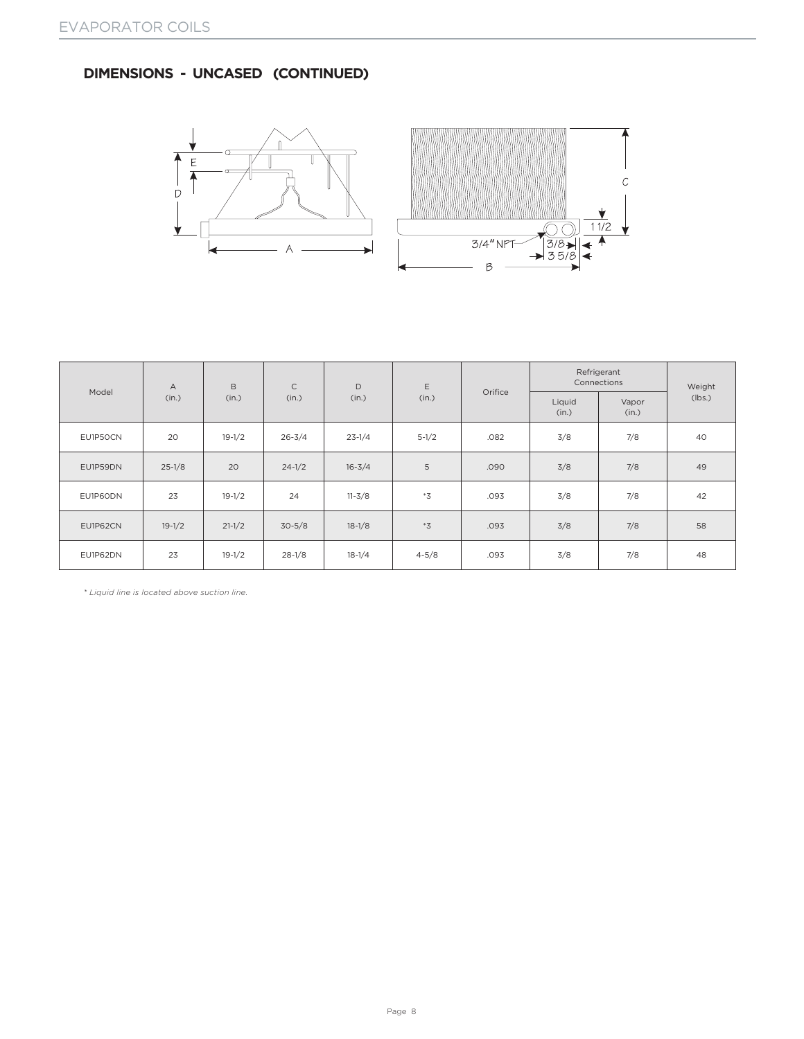# **DIMENSIONS - UNCASED (CONTINUED)**





|          | $\overline{A}$ | B          | $\mathsf C$ | D          | E                 |         | Refrigerant<br>Connections | Weight         |        |
|----------|----------------|------------|-------------|------------|-------------------|---------|----------------------------|----------------|--------|
| Model    | (in.)          | (in.)      | (in.)       | (in.)      | (in.)             | Orifice | Liquid<br>(in.)            | Vapor<br>(in.) | (lbs.) |
| EU1P50CN | 20             | $19-1/2$   | $26 - 3/4$  | $23 - 1/4$ | $5-1/2$           | .082    | 3/8                        | 7/8            | 40     |
| EU1P59DN | $25 - 1/8$     | 20         | $24 - 1/2$  | $16 - 3/4$ | 5                 | .090    | 3/8                        | 7/8            | 49     |
| EU1P60DN | 23             | $19 - 1/2$ | 24          | $11 - 3/8$ | $*_{\mathcal{Z}}$ | .093    | 3/8                        | 7/8            | 42     |
| EU1P62CN | $19-1/2$       | $21 - 1/2$ | $30 - 5/8$  | $18 - 1/8$ | $*_{\mathcal{Z}}$ | .093    | 3/8                        | 7/8            | 58     |
| EU1P62DN | 23             | $19-1/2$   | $28-1/8$    | $18-1/4$   | $4 - 5/8$         | .093    | 3/8                        | 7/8            | 48     |

*\* Liquid line is located above suction line.*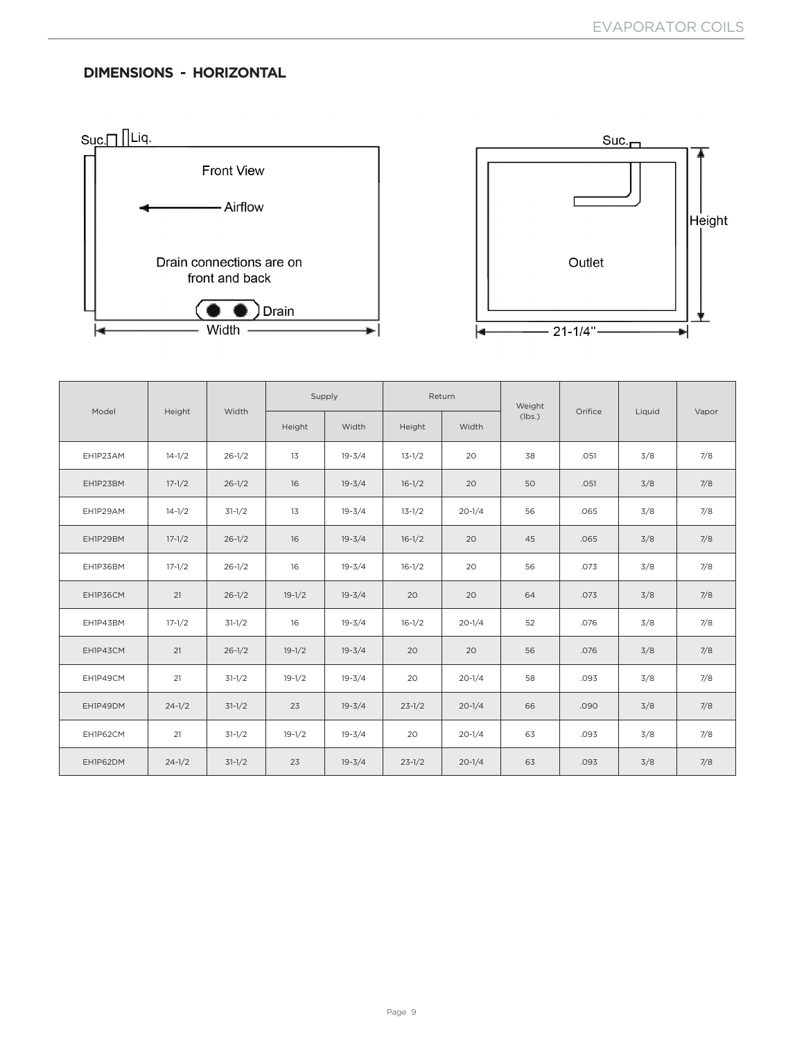# **DIMENSIONS - HORIZONTAL**





|          |            |            |          | Supply     |            | Return     | Weight |         |        |       |
|----------|------------|------------|----------|------------|------------|------------|--------|---------|--------|-------|
| Model    | Height     | Width      | Height   | Width      | Height     | Width      | (lbs.) | Orifice | Liquid | Vapor |
| EH1P23AM | $14 - 1/2$ | $26 - 1/2$ | 13       | $19 - 3/4$ | $13 - 1/2$ | 20         | 38     | .051    | 3/8    | 7/8   |
| EH1P23BM | $17 - 1/2$ | $26 - 1/2$ | 16       | $19 - 3/4$ | $16-1/2$   | 20         | 50     | .051    | 3/8    | 7/8   |
| EH1P29AM | $14 - 1/2$ | $31-1/2$   | 13       | $19 - 3/4$ | $13 - 1/2$ | $20 - 1/4$ | 56     | .065    | 3/8    | 7/8   |
| EH1P29BM | $17 - 1/2$ | $26 - 1/2$ | 16       | $19 - 3/4$ | $16-1/2$   | 20         | 45     | .065    | 3/8    | 7/8   |
| EH1P36BM | $17 - 1/2$ | $26 - 1/2$ | 16       | $19 - 3/4$ | $16-1/2$   | 20         | 56     | .073    | 3/8    | 7/8   |
| EH1P36CM | 21         | $26 - 1/2$ | $19-1/2$ | $19 - 3/4$ | 20         | 20         | 64     | .073    | 3/8    | 7/8   |
| EH1P43BM | $17 - 1/2$ | $31-1/2$   | 16       | $19 - 3/4$ | $16-1/2$   | $20 - 1/4$ | 52     | .076    | 3/8    | 7/8   |
| EH1P43CM | 21         | $26 - 1/2$ | $19-1/2$ | $19 - 3/4$ | 20         | 20         | 56     | .076    | 3/8    | 7/8   |
| EH1P49CM | 21         | $31-1/2$   | $19-1/2$ | $19 - 3/4$ | 20         | $20 - 1/4$ | 58     | .093    | 3/8    | 7/8   |
| EH1P49DM | $24 - 1/2$ | $31-1/2$   | 23       | $19 - 3/4$ | $23 - 1/2$ | $20 - 1/4$ | 66     | .090    | 3/8    | 7/8   |
| EH1P62CM | 21         | $31-1/2$   | $19-1/2$ | $19 - 3/4$ | 20         | $20 - 1/4$ | 63     | .093    | 3/8    | 7/8   |
| EH1P62DM | $24 - 1/2$ | $31-1/2$   | 23       | $19 - 3/4$ | $23 - 1/2$ | $20 - 1/4$ | 63     | .093    | 3/8    | 7/8   |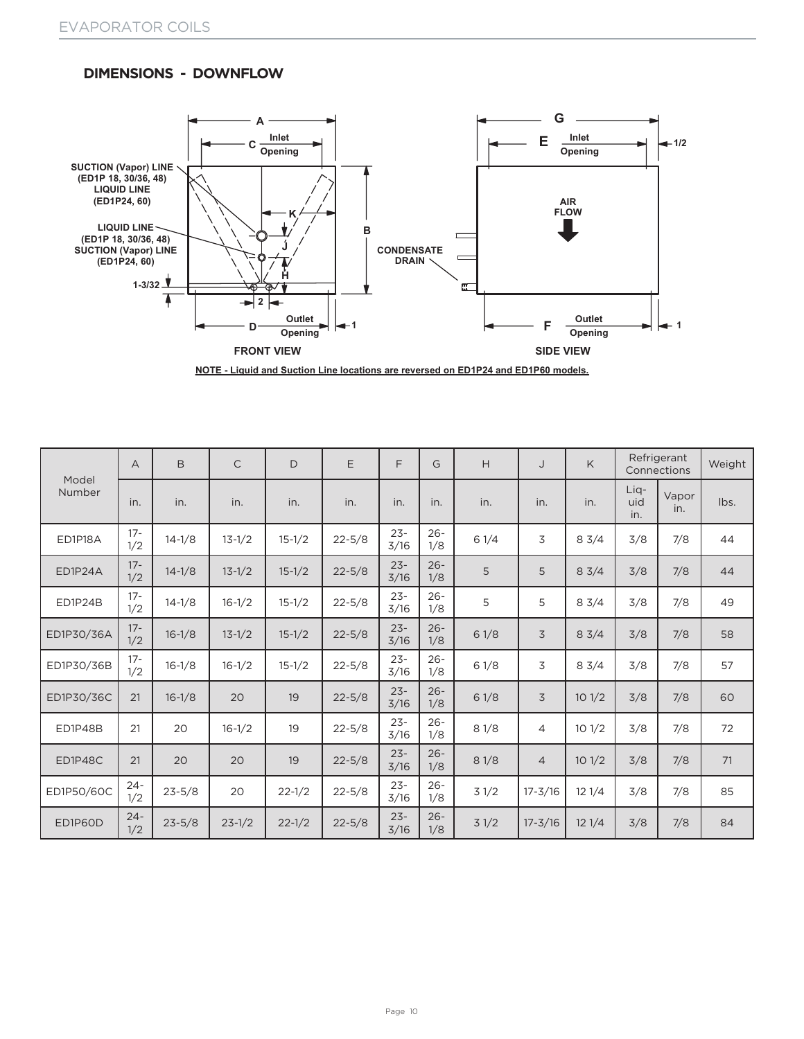## **DIMENSIONS - DOWNFLOW**



**NOTE - Liquid and Suction Line locations are reversed on ED1P24 and ED1P60 models.**

| Model      | $\overline{A}$ | B          | $\mathsf{C}$ | D          | E          | F              | G             | H    | J              | K     |                    | Refrigerant<br>Connections | Weight |
|------------|----------------|------------|--------------|------------|------------|----------------|---------------|------|----------------|-------|--------------------|----------------------------|--------|
| Number     | in.            | in.        | in.          | in.        | in.        | in.            | in.           | in.  | in.            | in.   | Lig-<br>uid<br>in. | Vapor<br>in.               | lbs.   |
| ED1P18A    | $17 -$<br>1/2  | $14 - 1/8$ | $13 - 1/2$   | $15 - 1/2$ | $22 - 5/8$ | $23 -$<br>3/16 | $26 -$<br>1/8 | 61/4 | 3              | 83/4  | 3/8                | 7/8                        | 44     |
| ED1P24A    | $17 -$<br>1/2  | $14 - 1/8$ | $13 - 1/2$   | $15 - 1/2$ | $22 - 5/8$ | $23 -$<br>3/16 | $26 -$<br>1/8 | 5    | 5              | 83/4  | 3/8                | 7/8                        | 44     |
| ED1P24B    | $17 -$<br>1/2  | $14 - 1/8$ | $16 - 1/2$   | $15 - 1/2$ | $22 - 5/8$ | $23 -$<br>3/16 | $26 -$<br>1/8 | 5    | 5              | 83/4  | 3/8                | 7/8                        | 49     |
| ED1P30/36A | $17 -$<br>1/2  | $16 - 1/8$ | $13 - 1/2$   | $15 - 1/2$ | $22 - 5/8$ | $23 -$<br>3/16 | $26 -$<br>1/8 | 61/8 | 3              | 83/4  | 3/8                | 7/8                        | 58     |
| ED1P30/36B | $17 -$<br>1/2  | $16 - 1/8$ | $16 - 1/2$   | $15 - 1/2$ | $22 - 5/8$ | $23 -$<br>3/16 | $26 -$<br>1/8 | 61/8 | 3              | 83/4  | 3/8                | 7/8                        | 57     |
| ED1P30/36C | 21             | $16 - 1/8$ | 20           | 19         | $22 - 5/8$ | $23 -$<br>3/16 | $26 -$<br>1/8 | 61/8 | 3              | 101/2 | 3/8                | 7/8                        | 60     |
| ED1P48B    | 21             | 20         | $16-1/2$     | 19         | $22 - 5/8$ | $23 -$<br>3/16 | $26 -$<br>1/8 | 81/8 | $\overline{4}$ | 101/2 | 3/8                | 7/8                        | 72     |
| ED1P48C    | 21             | 20         | 20           | 19         | $22 - 5/8$ | $23 -$<br>3/16 | $26 -$<br>1/8 | 81/8 | $\overline{4}$ | 101/2 | 3/8                | 7/8                        | 71     |
| ED1P50/60C | $24 -$<br>1/2  | $23 - 5/8$ | 20           | $22 - 1/2$ | $22 - 5/8$ | $23 -$<br>3/16 | $26 -$<br>1/8 | 31/2 | $17 - 3/16$    | 121/4 | 3/8                | 7/8                        | 85     |
| ED1P60D    | $24 -$<br>1/2  | $23 - 5/8$ | $23 - 1/2$   | $22 - 1/2$ | $22 - 5/8$ | $23 -$<br>3/16 | $26 -$<br>1/8 | 31/2 | $17 - 3/16$    | 121/4 | 3/8                | 7/8                        | 84     |